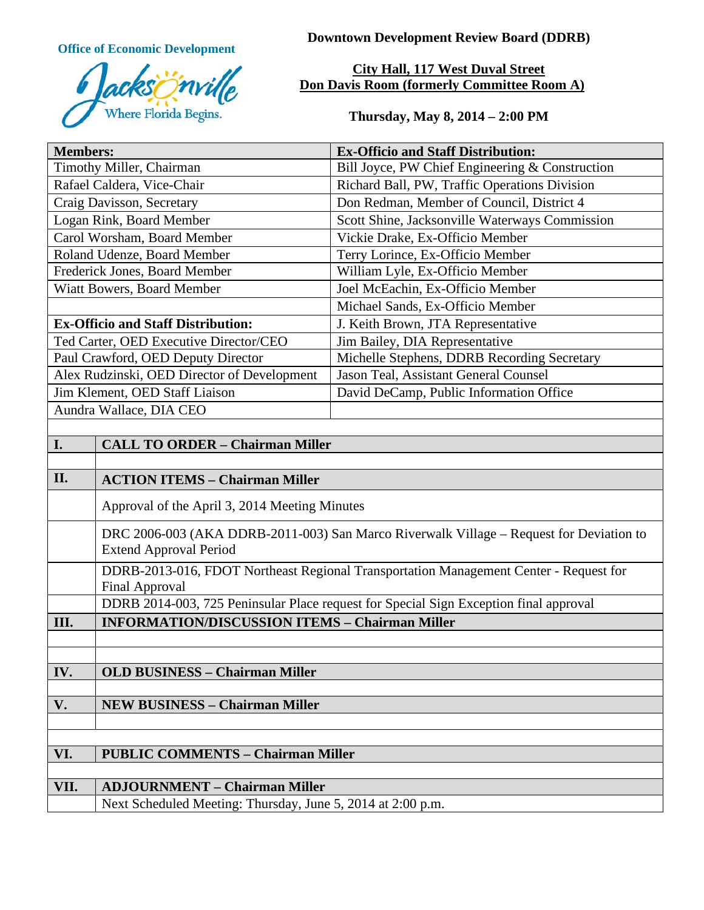

**Office of Economic Development Downtown Development Review Board (DDRB)** 

# **City Hall, 117 West Duval Street Don Davis Room (formerly Committee Room A)**

**Thursday, May 8, 2014 – 2:00 PM**

| <b>Members:</b>                                                                                                          | <b>Ex-Officio and Staff Distribution:</b>       |
|--------------------------------------------------------------------------------------------------------------------------|-------------------------------------------------|
| Timothy Miller, Chairman                                                                                                 | Bill Joyce, PW Chief Engineering & Construction |
| Rafael Caldera, Vice-Chair                                                                                               | Richard Ball, PW, Traffic Operations Division   |
| Craig Davisson, Secretary                                                                                                | Don Redman, Member of Council, District 4       |
| Logan Rink, Board Member                                                                                                 | Scott Shine, Jacksonville Waterways Commission  |
| Carol Worsham, Board Member                                                                                              | Vickie Drake, Ex-Officio Member                 |
| Roland Udenze, Board Member                                                                                              | Terry Lorince, Ex-Officio Member                |
| Frederick Jones, Board Member                                                                                            | William Lyle, Ex-Officio Member                 |
| Wiatt Bowers, Board Member                                                                                               | Joel McEachin, Ex-Officio Member                |
|                                                                                                                          | Michael Sands, Ex-Officio Member                |
| <b>Ex-Officio and Staff Distribution:</b>                                                                                | J. Keith Brown, JTA Representative              |
| Ted Carter, OED Executive Director/CEO                                                                                   | Jim Bailey, DIA Representative                  |
| Paul Crawford, OED Deputy Director                                                                                       | Michelle Stephens, DDRB Recording Secretary     |
| Alex Rudzinski, OED Director of Development                                                                              | Jason Teal, Assistant General Counsel           |
| Jim Klement, OED Staff Liaison                                                                                           | David DeCamp, Public Information Office         |
| Aundra Wallace, DIA CEO                                                                                                  |                                                 |
|                                                                                                                          |                                                 |
| <b>CALL TO ORDER - Chairman Miller</b><br>I.                                                                             |                                                 |
|                                                                                                                          |                                                 |
| II.<br><b>ACTION ITEMS - Chairman Miller</b>                                                                             |                                                 |
| Approval of the April 3, 2014 Meeting Minutes                                                                            |                                                 |
| DRC 2006-003 (AKA DDRB-2011-003) San Marco Riverwalk Village – Request for Deviation to<br><b>Extend Approval Period</b> |                                                 |
| DDRB-2013-016, FDOT Northeast Regional Transportation Management Center - Request for<br><b>Final Approval</b>           |                                                 |
| DDRB 2014-003, 725 Peninsular Place request for Special Sign Exception final approval                                    |                                                 |
| <b>INFORMATION/DISCUSSION ITEMS - Chairman Miller</b><br>III.                                                            |                                                 |
|                                                                                                                          |                                                 |
|                                                                                                                          |                                                 |
| <b>OLD BUSINESS - Chairman Miller</b><br>IV.                                                                             |                                                 |
|                                                                                                                          |                                                 |
| V.<br><b>NEW BUSINESS - Chairman Miller</b>                                                                              |                                                 |
|                                                                                                                          |                                                 |
|                                                                                                                          |                                                 |
| VI.<br><b>PUBLIC COMMENTS - Chairman Miller</b>                                                                          |                                                 |
|                                                                                                                          |                                                 |
| VII.<br><b>ADJOURNMENT - Chairman Miller</b>                                                                             |                                                 |
| Next Scheduled Meeting: Thursday, June 5, 2014 at 2:00 p.m.                                                              |                                                 |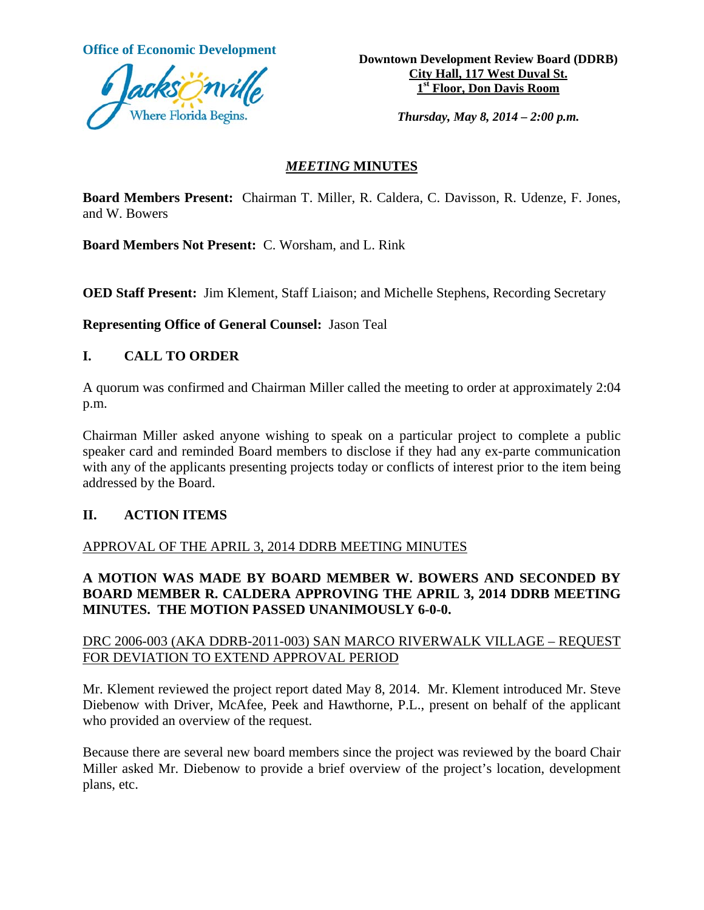

**Office of Economic Development <br>Downtown Development Review Board (DDRB) City Hall, 117 West Duval St. 1st Floor, Don Davis Room** 

*Thursday, May 8, 2014 – 2:00 p.m.* 

#### *MEETING* **MINUTES**

**Board Members Present:** Chairman T. Miller, R. Caldera, C. Davisson, R. Udenze, F. Jones, and W. Bowers

**Board Members Not Present:** C. Worsham, and L. Rink

**OED Staff Present:** Jim Klement, Staff Liaison; and Michelle Stephens, Recording Secretary

**Representing Office of General Counsel:** Jason Teal

#### **I. CALL TO ORDER**

A quorum was confirmed and Chairman Miller called the meeting to order at approximately 2:04 p.m.

Chairman Miller asked anyone wishing to speak on a particular project to complete a public speaker card and reminded Board members to disclose if they had any ex-parte communication with any of the applicants presenting projects today or conflicts of interest prior to the item being addressed by the Board.

# **II. ACTION ITEMS**

#### APPROVAL OF THE APRIL 3, 2014 DDRB MEETING MINUTES

# **A MOTION WAS MADE BY BOARD MEMBER W. BOWERS AND SECONDED BY BOARD MEMBER R. CALDERA APPROVING THE APRIL 3, 2014 DDRB MEETING MINUTES. THE MOTION PASSED UNANIMOUSLY 6-0-0.**

#### DRC 2006-003 (AKA DDRB-2011-003) SAN MARCO RIVERWALK VILLAGE – REQUEST FOR DEVIATION TO EXTEND APPROVAL PERIOD

Mr. Klement reviewed the project report dated May 8, 2014. Mr. Klement introduced Mr. Steve Diebenow with Driver, McAfee, Peek and Hawthorne, P.L., present on behalf of the applicant who provided an overview of the request.

Because there are several new board members since the project was reviewed by the board Chair Miller asked Mr. Diebenow to provide a brief overview of the project's location, development plans, etc.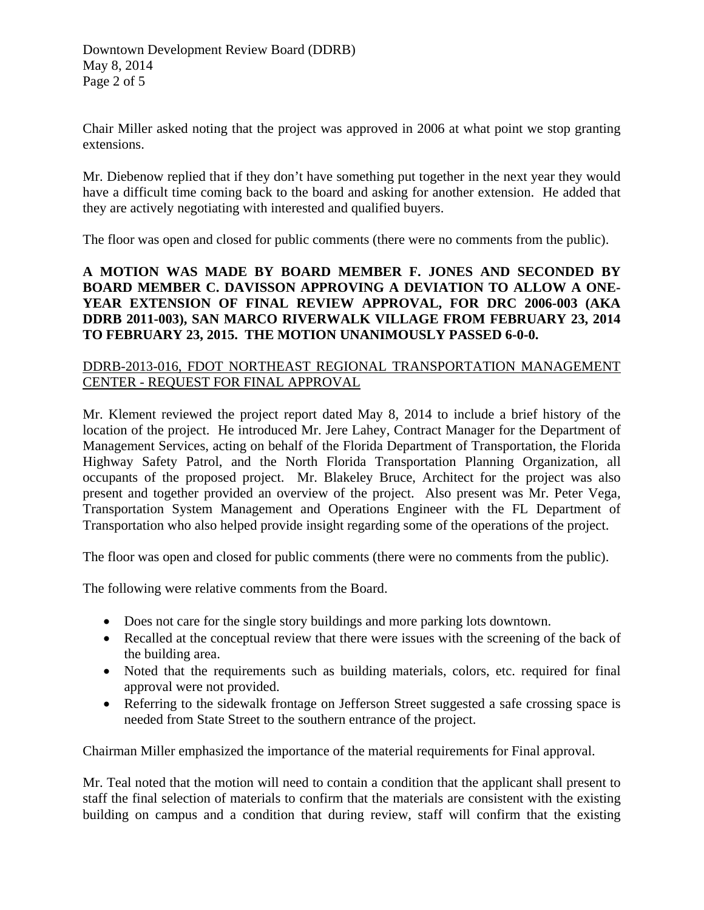Chair Miller asked noting that the project was approved in 2006 at what point we stop granting extensions.

Mr. Diebenow replied that if they don't have something put together in the next year they would have a difficult time coming back to the board and asking for another extension. He added that they are actively negotiating with interested and qualified buyers.

The floor was open and closed for public comments (there were no comments from the public).

# **A MOTION WAS MADE BY BOARD MEMBER F. JONES AND SECONDED BY BOARD MEMBER C. DAVISSON APPROVING A DEVIATION TO ALLOW A ONE-YEAR EXTENSION OF FINAL REVIEW APPROVAL, FOR DRC 2006-003 (AKA DDRB 2011-003), SAN MARCO RIVERWALK VILLAGE FROM FEBRUARY 23, 2014 TO FEBRUARY 23, 2015. THE MOTION UNANIMOUSLY PASSED 6-0-0.**

# DDRB-2013-016, FDOT NORTHEAST REGIONAL TRANSPORTATION MANAGEMENT CENTER - REQUEST FOR FINAL APPROVAL

Mr. Klement reviewed the project report dated May 8, 2014 to include a brief history of the location of the project. He introduced Mr. Jere Lahey, Contract Manager for the Department of Management Services, acting on behalf of the Florida Department of Transportation, the Florida Highway Safety Patrol, and the North Florida Transportation Planning Organization, all occupants of the proposed project. Mr. Blakeley Bruce, Architect for the project was also present and together provided an overview of the project. Also present was Mr. Peter Vega, Transportation System Management and Operations Engineer with the FL Department of Transportation who also helped provide insight regarding some of the operations of the project.

The floor was open and closed for public comments (there were no comments from the public).

The following were relative comments from the Board.

- Does not care for the single story buildings and more parking lots downtown.
- Recalled at the conceptual review that there were issues with the screening of the back of the building area.
- Noted that the requirements such as building materials, colors, etc. required for final approval were not provided.
- Referring to the sidewalk frontage on Jefferson Street suggested a safe crossing space is needed from State Street to the southern entrance of the project.

Chairman Miller emphasized the importance of the material requirements for Final approval.

Mr. Teal noted that the motion will need to contain a condition that the applicant shall present to staff the final selection of materials to confirm that the materials are consistent with the existing building on campus and a condition that during review, staff will confirm that the existing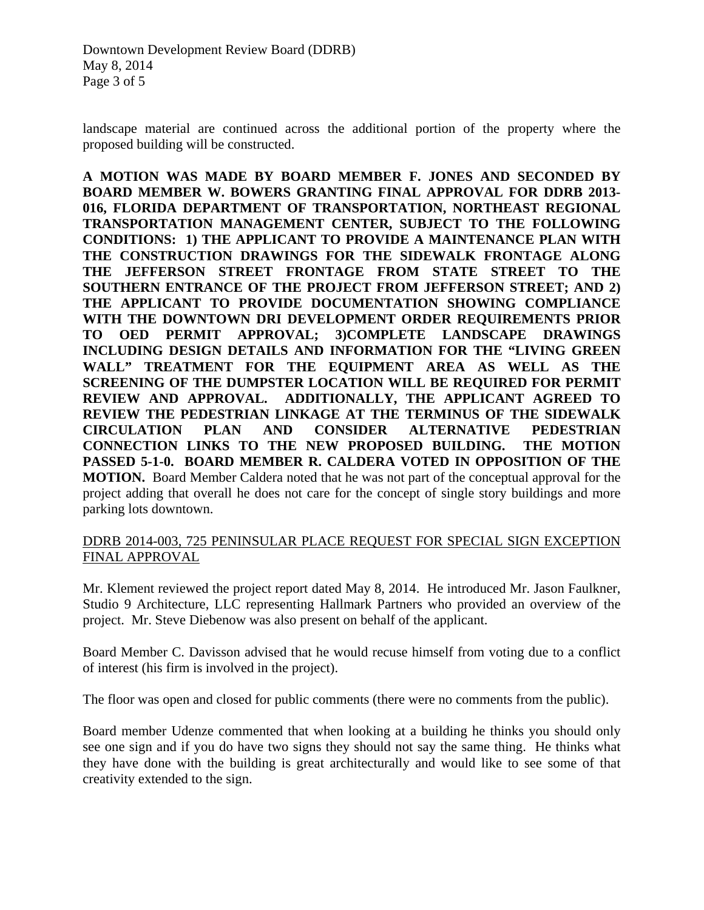landscape material are continued across the additional portion of the property where the proposed building will be constructed.

**A MOTION WAS MADE BY BOARD MEMBER F. JONES AND SECONDED BY BOARD MEMBER W. BOWERS GRANTING FINAL APPROVAL FOR DDRB 2013- 016, FLORIDA DEPARTMENT OF TRANSPORTATION, NORTHEAST REGIONAL TRANSPORTATION MANAGEMENT CENTER, SUBJECT TO THE FOLLOWING CONDITIONS: 1) THE APPLICANT TO PROVIDE A MAINTENANCE PLAN WITH THE CONSTRUCTION DRAWINGS FOR THE SIDEWALK FRONTAGE ALONG THE JEFFERSON STREET FRONTAGE FROM STATE STREET TO THE SOUTHERN ENTRANCE OF THE PROJECT FROM JEFFERSON STREET; AND 2) THE APPLICANT TO PROVIDE DOCUMENTATION SHOWING COMPLIANCE WITH THE DOWNTOWN DRI DEVELOPMENT ORDER REQUIREMENTS PRIOR TO OED PERMIT APPROVAL; 3)COMPLETE LANDSCAPE DRAWINGS INCLUDING DESIGN DETAILS AND INFORMATION FOR THE "LIVING GREEN WALL" TREATMENT FOR THE EQUIPMENT AREA AS WELL AS THE SCREENING OF THE DUMPSTER LOCATION WILL BE REQUIRED FOR PERMIT REVIEW AND APPROVAL. ADDITIONALLY, THE APPLICANT AGREED TO REVIEW THE PEDESTRIAN LINKAGE AT THE TERMINUS OF THE SIDEWALK CIRCULATION PLAN AND CONSIDER ALTERNATIVE PEDESTRIAN CONNECTION LINKS TO THE NEW PROPOSED BUILDING. THE MOTION PASSED 5-1-0. BOARD MEMBER R. CALDERA VOTED IN OPPOSITION OF THE MOTION.** Board Member Caldera noted that he was not part of the conceptual approval for the project adding that overall he does not care for the concept of single story buildings and more parking lots downtown.

#### DDRB 2014-003, 725 PENINSULAR PLACE REQUEST FOR SPECIAL SIGN EXCEPTION FINAL APPROVAL

Mr. Klement reviewed the project report dated May 8, 2014. He introduced Mr. Jason Faulkner, Studio 9 Architecture, LLC representing Hallmark Partners who provided an overview of the project. Mr. Steve Diebenow was also present on behalf of the applicant.

Board Member C. Davisson advised that he would recuse himself from voting due to a conflict of interest (his firm is involved in the project).

The floor was open and closed for public comments (there were no comments from the public).

Board member Udenze commented that when looking at a building he thinks you should only see one sign and if you do have two signs they should not say the same thing. He thinks what they have done with the building is great architecturally and would like to see some of that creativity extended to the sign.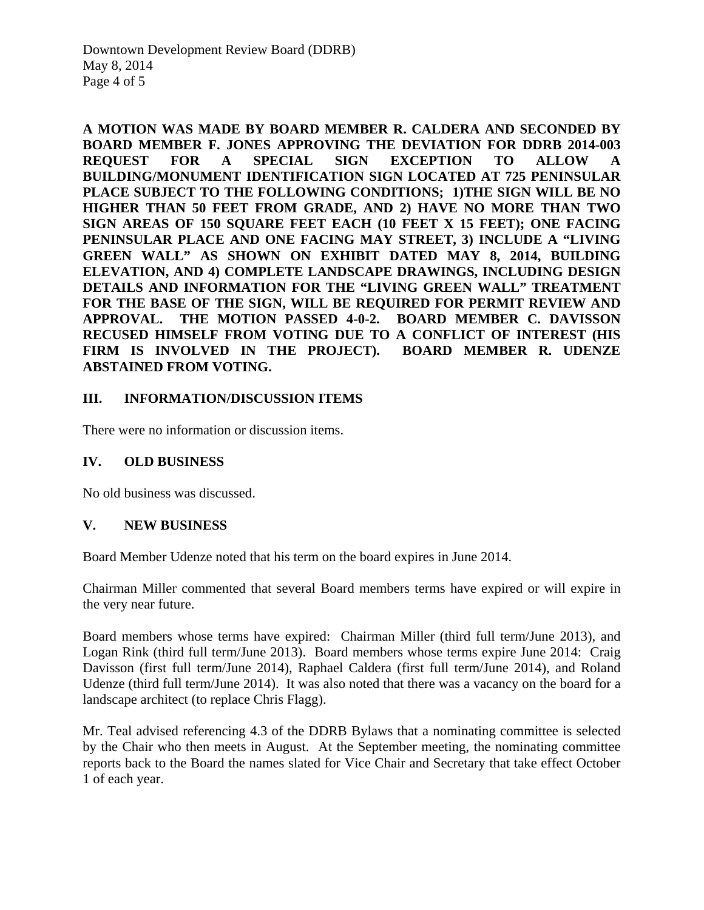**A MOTION WAS MADE BY BOARD MEMBER R. CALDERA AND SECONDED BY BOARD MEMBER F. JONES APPROVING THE DEVIATION FOR DDRB 2014-003 REQUEST FOR A SPECIAL SIGN EXCEPTION TO ALLOW A BUILDING/MONUMENT IDENTIFICATION SIGN LOCATED AT 725 PENINSULAR PLACE SUBJECT TO THE FOLLOWING CONDITIONS; 1)THE SIGN WILL BE NO HIGHER THAN 50 FEET FROM GRADE, AND 2) HAVE NO MORE THAN TWO SIGN AREAS OF 150 SQUARE FEET EACH (10 FEET X 15 FEET); ONE FACING PENINSULAR PLACE AND ONE FACING MAY STREET, 3) INCLUDE A "LIVING GREEN WALL" AS SHOWN ON EXHIBIT DATED MAY 8, 2014, BUILDING ELEVATION, AND 4) COMPLETE LANDSCAPE DRAWINGS, INCLUDING DESIGN DETAILS AND INFORMATION FOR THE "LIVING GREEN WALL" TREATMENT FOR THE BASE OF THE SIGN, WILL BE REQUIRED FOR PERMIT REVIEW AND APPROVAL. THE MOTION PASSED 4-0-2. BOARD MEMBER C. DAVISSON RECUSED HIMSELF FROM VOTING DUE TO A CONFLICT OF INTEREST (HIS FIRM IS INVOLVED IN THE PROJECT). BOARD MEMBER R. UDENZE ABSTAINED FROM VOTING.** 

# **III. INFORMATION/DISCUSSION ITEMS**

There were no information or discussion items.

# **IV. OLD BUSINESS**

No old business was discussed.

# **V. NEW BUSINESS**

Board Member Udenze noted that his term on the board expires in June 2014.

Chairman Miller commented that several Board members terms have expired or will expire in the very near future.

Board members whose terms have expired: Chairman Miller (third full term/June 2013), and Logan Rink (third full term/June 2013). Board members whose terms expire June 2014: Craig Davisson (first full term/June 2014), Raphael Caldera (first full term/June 2014), and Roland Udenze (third full term/June 2014). It was also noted that there was a vacancy on the board for a landscape architect (to replace Chris Flagg).

Mr. Teal advised referencing 4.3 of the DDRB Bylaws that a nominating committee is selected by the Chair who then meets in August. At the September meeting, the nominating committee reports back to the Board the names slated for Vice Chair and Secretary that take effect October 1 of each year.